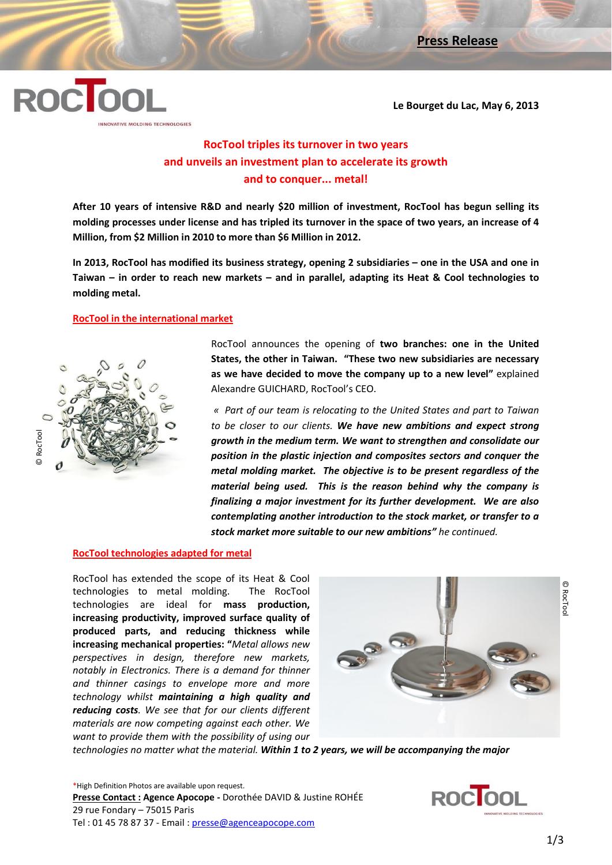

**Le Bourget du Lac, May 6, 2013**

# **RocTool triples its turnover in two years and unveils an investment plan to accelerate its growth and to conquer... metal!**

**After 10 years of intensive R&D and nearly \$20 million of investment, RocTool has begun selling its molding processes under license and has tripled its turnover in the space of two years, an increase of 4 Million, from \$2 Million in 2010 to more than \$6 Million in 2012.**

**In 2013, RocTool has modified its business strategy, opening 2 subsidiaries – one in the USA and one in Taiwan – in order to reach new markets – and in parallel, adapting its Heat & Cool technologies to molding metal.**

## **RocTool in the international market**



RocTool announces the opening of **two branches: one in the United States, the other in Taiwan. "These two new subsidiaries are necessary as we have decided to move the company up to a new level"** explained Alexandre GUICHARD, RocTool's CEO.

*« Part of our team is relocating to the United States and part to Taiwan to be closer to our clients. We have new ambitions and expect strong growth in the medium term. We want to strengthen and consolidate our position in the plastic injection and composites sectors and conquer the metal molding market. The objective is to be present regardless of the material being used. This is the reason behind why the company is finalizing a major investment for its further development. We are also contemplating another introduction to the stock market, or transfer to a stock market more suitable to our new ambitions" he continued.*

#### **RocTool technologies adapted for metal**

RocTool has extended the scope of its Heat & Cool technologies to metal molding. The RocTool technologies are ideal for **mass production, increasing productivity, improved surface quality of produced parts, and reducing thickness while increasing mechanical properties: "***Metal allows new perspectives in design, therefore new markets, notably in Electronics. There is a demand for thinner and thinner casings to envelope more and more technology whilst maintaining a high quality and reducing costs. We see that for our clients different materials are now competing against each other. We want to provide them with the possibility of using our* 



\*High Definition Photos are available upon request. **Presse Contact : Agence Apocope -** Dorothée DAVID & Justine ROHÉE 29 rue Fondary – 75015 Paris Tel : 01 45 78 87 37 - Email : presse@agenceapocope.com

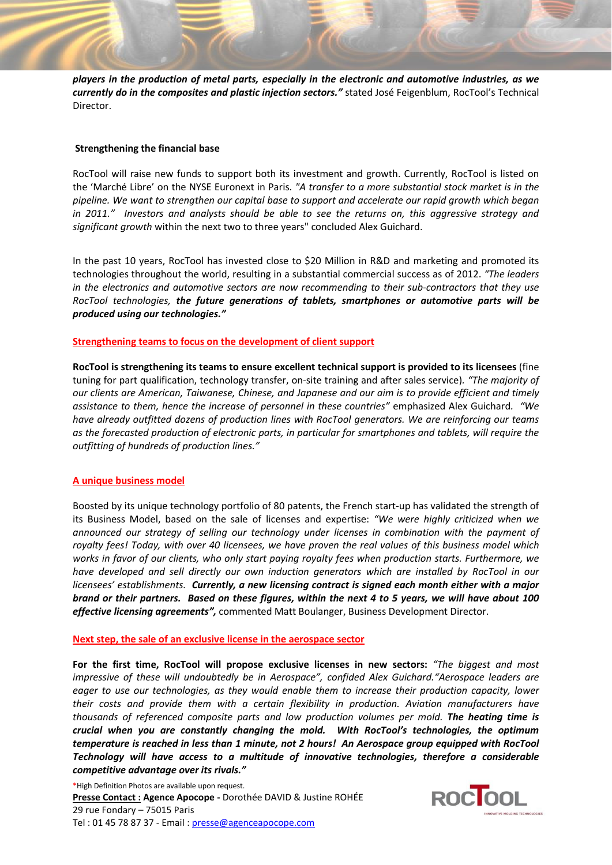*players in the production of metal parts, especially in the electronic and automotive industries, as we currently do in the composites and plastic injection sectors."* stated José Feigenblum, RocTool's Technical Director.

### **Strengthening the financial base**

RocTool will raise new funds to support both its investment and growth. Currently, RocTool is listed on the 'Marché Libre' on the NYSE Euronext in Paris*. "A transfer to a more substantial stock market is in the pipeline. We want to strengthen our capital base to support and accelerate our rapid growth which began in 2011." Investors and analysts should be able to see the returns on, this aggressive strategy and significant growth* within the next two to three years" concluded Alex Guichard.

In the past 10 years, RocTool has invested close to \$20 Million in R&D and marketing and promoted its technologies throughout the world, resulting in a substantial commercial success as of 2012. *"The leaders in the electronics and automotive sectors are now recommending to their sub-contractors that they use RocTool technologies, the future generations of tablets, smartphones or automotive parts will be produced using our technologies."*

#### **Strengthening teams to focus on the development of client support**

**RocTool is strengthening its teams to ensure excellent technical support is provided to its licensees** (fine tuning for part qualification, technology transfer, on-site training and after sales service)*. "The majority of our clients are American, Taiwanese, Chinese, and Japanese and our aim is to provide efficient and timely assistance to them, hence the increase of personnel in these countries"* emphasized Alex Guichard*. "We have already outfitted dozens of production lines with RocTool generators. We are reinforcing our teams as the forecasted production of electronic parts, in particular for smartphones and tablets, will require the outfitting of hundreds of production lines."* 

#### **A unique business model**

Boosted by its unique technology portfolio of 80 patents, the French start-up has validated the strength of its Business Model, based on the sale of licenses and expertise: *"We were highly criticized when we announced our strategy of selling our technology under licenses in combination with the payment of royalty fees! Today, with over 40 licensees, we have proven the real values of this business model which works in favor of our clients, who only start paying royalty fees when production starts. Furthermore, we have developed and sell directly our own induction generators which are installed by RocTool in our licensees' establishments. Currently, a new licensing contract is signed each month either with a major brand or their partners. Based on these figures, within the next 4 to 5 years, we will have about 100 effective licensing agreements",* commented Matt Boulanger, Business Development Director.

#### **Next step, the sale of an exclusive license in the aerospace sector**

**For the first time, RocTool will propose exclusive licenses in new sectors:** *"The biggest and most impressive of these will undoubtedly be in Aerospace", confided Alex Guichard."Aerospace leaders are eager to use our technologies, as they would enable them to increase their production capacity, lower their costs and provide them with a certain flexibility in production. Aviation manufacturers have thousands of referenced composite parts and low production volumes per mold. The heating time is crucial when you are constantly changing the mold. With RocTool's technologies, the optimum temperature is reached in less than 1 minute, not 2 hours! An Aerospace group equipped with RocTool Technology will have access to a multitude of innovative technologies, therefore a considerable competitive advantage over its rivals."*

\*High Definition Photos are available upon request. **Presse Contact : Agence Apocope -** Dorothée DAVID & Justine ROHÉE 29 rue Fondary – 75015 Paris Tel : 01 45 78 87 37 - Email : presse@agenceapocope.com